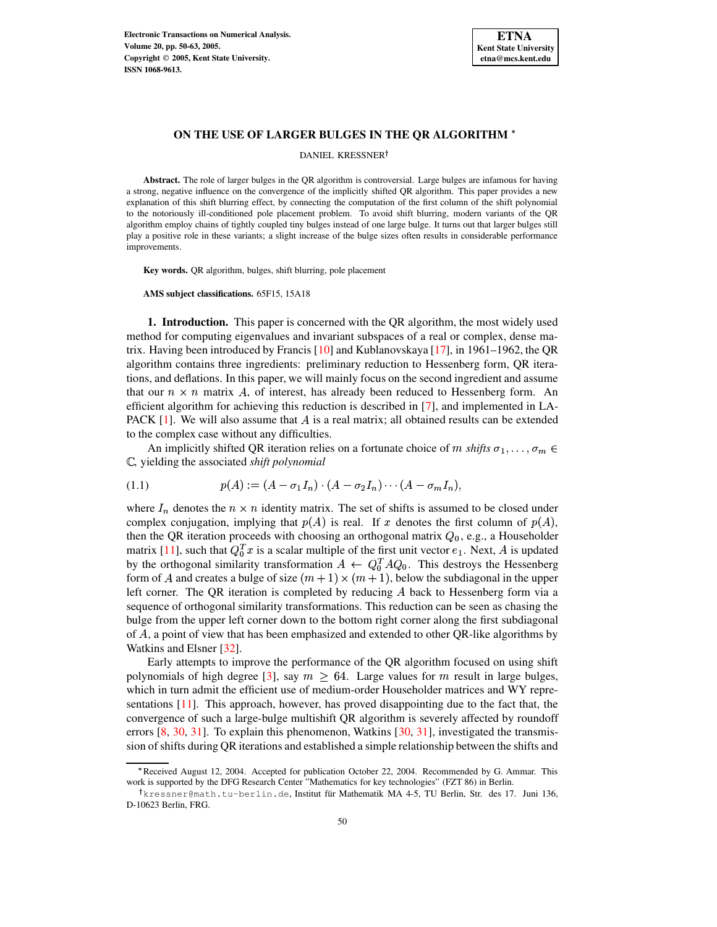

### **ON THE USE OF LARGER BULGES IN THE QR ALGORITHM**

DANIEL KRESSNER

**Abstract.** The role of larger bulges in the QR algorithm is controversial. Large bulges are infamous for having a strong, negative influence on the convergence of the implicitly shifted QR algorithm. This paper provides a new explanation of this shift blurring effect, by connecting the computation of the first column of the shift polynomial to the notoriously ill-conditioned pole placement problem. To avoid shift blurring, modern variants of the QR algorithm employ chains of tightly coupled tiny bulges instead of one large bulge. It turns out that larger bulges still play a positive role in these variants; a slight increase of the bulge sizes often results in considerable performance improvements.

**Key words.** QR algorithm, bulges, shift blurring, pole placement

**AMS subject classifications.** 65F15, 15A18

**1. Introduction.** This paper is concerned with the QR algorithm, the most widely used method for computing eigenvalues and invariant subspaces of a real or complex, dense matrix. Having been introduced by Francis [\[10\]](#page-12-0) and Kublanovskaya [\[17\]](#page-12-1), in 1961–1962, the QR algorithm contains three ingredients: preliminary reduction to Hessenberg form, QR iterations, and deflations. In this paper, we will mainly focus on the second ingredient and assume that our  $n \times n$  matrix A, of interest, has already been reduced to Hessenberg form. An efficient algorithm for achieving this reduction is described in [\[7\]](#page-12-2), and implemented in LA-PACK  $[1]$ . We will also assume that A is a real matrix; all obtained results can be extended to the complex case without any difficulties.

An implicitly shifted QR iteration relies on a fortunate choice of m shifts  $\sigma_1, \ldots, \sigma_m \in$ , yielding the associated *shift polynomial*

<span id="page-0-0"></span>(1.1) 
$$
p(A) := (A - \sigma_1 I_n) \cdot (A - \sigma_2 I_n) \cdots (A - \sigma_m I_n),
$$

where  $I_n$  denotes the  $n \times n$  identity matrix. The set of shifts is assumed to be closed under complex conjugation, implying that  $p(A)$  is real. If x denotes the first column of  $p(A)$ , then the QR iteration proceeds with choosing an orthogonal matrix  $Q_0$ , e.g., a Householder matrix [\[11\]](#page-12-4), such that  $Q_0^T x$  is a scalar multiple of the first unit vector  $e_1$ . Next, A is updated by the orthogonal similarity transformation  $A \leftarrow Q_0^T A Q_0$ . This destroys the Hessenberg form of A and creates a bulge of size  $(m + 1) \times (m + 1)$ , below the subdiagonal in the upper left corner. The QR iteration is completed by reducing  $A$  back to Hessenberg form via a sequence of orthogonal similarity transformations. This reduction can be seen as chasing the bulge from the upper left corner down to the bottom right corner along the first subdiagonal of , a point of view that has been emphasized and extended to other QR-like algorithms by Watkins and Elsner [\[32\]](#page-13-0).

Early attempts to improve the performance of the QR algorithm focused on using shift polynomials of high degree [\[3\]](#page-12-5), say  $m \geq 64$ . Large values for  $m$  result in large bulges, which in turn admit the efficient use of medium-order Householder matrices and WY representations [\[11\]](#page-12-4). This approach, however, has proved disappointing due to the fact that, the convergence of such a large-bulge multishift QR algorithm is severely affected by roundoff errors  $[8, 30, 31]$  $[8, 30, 31]$  $[8, 30, 31]$  $[8, 30, 31]$  $[8, 30, 31]$ . To explain this phenomenon, Watkins  $[30, 31]$  $[30, 31]$ , investigated the transmission of shifts during QR iterations and established a simple relationship between the shifts and

<sup>\*</sup>Received August 12, 2004. Accepted for publication October 22, 2004. Recommended by G. Ammar. This work is supported by the DFG Research Center "Mathematics for key technologies" (FZT 86) in Berlin.

<sup>†</sup>kressner@math.tu-berlin.de,Institut für Mathematik MA 4-5, TU Berlin, Str. des 17. Juni 136, D-10623 Berlin, FRG.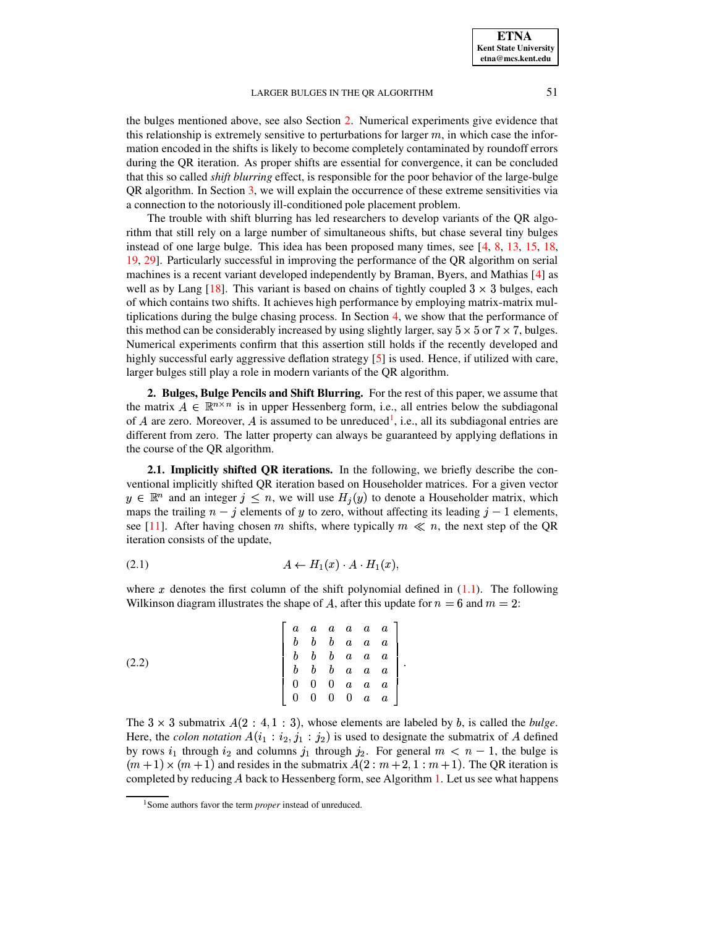the bulges mentioned above, see also Section [2.](#page-1-0) Numerical experiments give evidence that this relationship is extremely sensitive to perturbations for larger  $m$ , in which case the information encoded in the shifts is likely to become completely contaminated by roundoff errors during the QR iteration. As proper shifts are essential for convergence, it can be concluded that this so called *shift blurring* effect, is responsible for the poor behavior of the large-bulge QR algorithm. In Section [3,](#page-4-0) we will explain the occurrence of these extreme sensitivities via a connection to the notoriously ill-conditioned pole placement problem.

The trouble with shift blurring has led researchers to develop variants of the QR algorithm that still rely on a large number of simultaneous shifts, but chase several tiny bulges instead of one large bulge. This idea has been proposed many times, see [\[4,](#page-12-7) [8,](#page-12-6) [13,](#page-12-8) [15,](#page-12-9) [18,](#page-12-10) [19,](#page-12-11) [29\]](#page-12-12). Particularly successful in improving the performance of the QR algorithm on serial machines is a recent variant developed independently by Braman, Byers, and Mathias [\[4\]](#page-12-7) as well as by Lang [\[18\]](#page-12-10). This variant is based on chains of tightly coupled  $3 \times 3$  bulges, each of which contains two shifts. It achieves high performance by employing matrix-matrix multiplications during the bulge chasing process. In Section [4,](#page-6-0) we show that the performance of this method can be considerably increased by using slightly larger, say  $5 \times 5$  or  $7 \times 7$ , bulges. Numerical experiments confirm that this assertion still holds if the recently developed and highly successful early aggressive deflation strategy [\[5\]](#page-12-13) is used. Hence, if utilized with care, larger bulges still play a role in modern variants of the QR algorithm.

<span id="page-1-0"></span>**2. Bulges, Bulge Pencils and Shift Blurring.** For the rest of this paper, we assume that the matrix  $A \in \mathbb{R}^{n \times n}$  is in upper Hessenberg form, i.e., all entries below the subdiagonal of A are zero. Moreover, A is assumed to be unreduced<sup>[1](#page-1-1)</sup>, i.e., all its subdiagonal entries are different from zero. The latter property can always be guaranteed by applying deflations in the course of the QR algorithm.

<span id="page-1-3"></span>**2.1. Implicitly shifted QR iterations.** In the following, we briefly describe the conventional implicitly shifted QR iteration based on Householder matrices. For a given vector  $y \in \mathbb{R}^n$  and an integer  $j \leq n$ , we will use  $H_i(y)$  to denote a Householder matrix, which maps the trailing  $n - j$  elements of y to zero, without affecting its leading  $j - 1$  elements, see [\[11\]](#page-12-4). After having chosen m shifts, where typically  $m \ll n$ , the next step of the QR iteration consists of the update,

<span id="page-1-4"></span>
$$
(2.1) \t\t A \leftarrow H_1(x) \cdot A \cdot H_1(x),
$$

where x denotes the first column of the shift polynomial defined in  $(1.1)$ . The following Wilkinson diagram illustrates the shape of A, after this update for  $n = 6$  and  $m = 2$ :

<span id="page-1-2"></span>(2.2) 
$$
\begin{bmatrix} a & a & a & a & a & a \\ b & b & b & a & a & a \\ b & b & b & a & a & a \\ b & b & b & a & a & a \\ 0 & 0 & 0 & a & a & a \\ 0 & 0 & 0 & 0 & a & a \end{bmatrix}.
$$

The  $3 \times 3$  submatrix  $A(2 : 4, 1 : 3)$ , whose elements are labeled by b, is called the *bulge*. Here, the *colon notation*  $A(i_1 : i_2, j_1 : j_2)$  is used to designate the submatrix of A defined by rows  $i_1$  through  $i_2$  and columns  $j_1$  through  $j_2$ . For general  $m < n-1$ , the bulge is  $(m+1) \times (m+1)$  and resides in the submatrix  $A(2 : m+2, 1 : m+1)$ . The QR iteration is completed by reducing  $A$  back to Hessenberg form, see Algorithm [1.](#page-2-0) Let us see what happens

<span id="page-1-1"></span><sup>1</sup>Some authors favor the term *proper* instead of unreduced.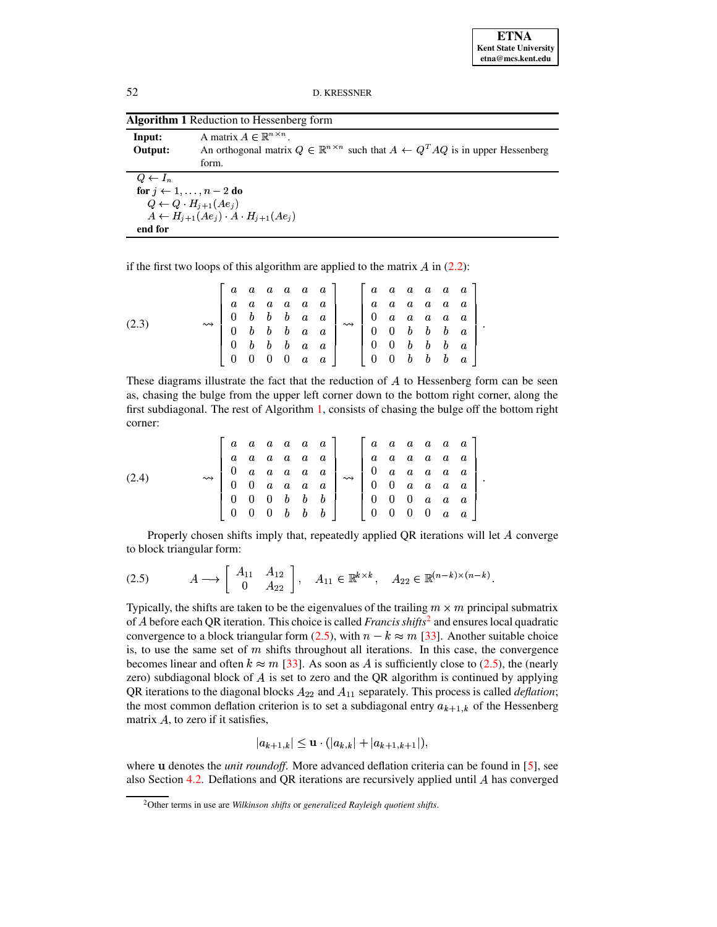**ETNA Kent State University etna@mcs.kent.edu**

52 D. KRESSNER

<span id="page-2-0"></span>

|                    | <b>Algorithm 1</b> Reduction to Hessenberg form                                                                                                                   |
|--------------------|-------------------------------------------------------------------------------------------------------------------------------------------------------------------|
| Input:<br>Output:  | A matrix $A \in \mathbb{R}^{n \times n}$<br>An orthogonal matrix $Q \in \mathbb{R}^{n \times n}$ such that $A \leftarrow Q^T A Q$ is in upper Hessenberg<br>form. |
| $Q \leftarrow I_n$ |                                                                                                                                                                   |
|                    | for $j \leftarrow 1, \ldots, n-2$ do                                                                                                                              |
|                    | $Q \leftarrow Q \cdot H_{i+1}(Ae_i)$                                                                                                                              |
|                    | $A \leftarrow H_{i+1}(Ae_i) \cdot A \cdot H_{i+1}(Ae_i)$                                                                                                          |
| end for            |                                                                                                                                                                   |

if the first two loops of this algorithm are applied to the matrix  $A$  in [\(2.2\)](#page-1-2):

<span id="page-2-3"></span>

|       |                    |  |                          |             | $\left[ \begin{array}{cccccccc} a & a & a & a & a & a & a \ a & a & a & a & a & a & a \ 0 & b & b & b & a & a & a \ 0 & b & b & b & a & a & a \ 0 & b & b & b & a & a & a \end{array} \right].$ |                    |                                                                 | $\begin{array}{cccccccccc} a & a & a & a & a & a \end{array}$ |  |                                                                                       |  |
|-------|--------------------|--|--------------------------|-------------|-------------------------------------------------------------------------------------------------------------------------------------------------------------------------------------------------|--------------------|-----------------------------------------------------------------|---------------------------------------------------------------|--|---------------------------------------------------------------------------------------|--|
|       |                    |  |                          |             |                                                                                                                                                                                                 |                    | $\begin{array}{ccccccccc}\n a & a & a & a & a & a\n\end{array}$ |                                                               |  |                                                                                       |  |
|       |                    |  |                          |             |                                                                                                                                                                                                 |                    |                                                                 |                                                               |  |                                                                                       |  |
| (2.3) | $\rightsquigarrow$ |  |                          |             |                                                                                                                                                                                                 | $\rightsquigarrow$ |                                                                 |                                                               |  | $\begin{array}{ccccccccc} 0 & a & a & a & a & a \\ 0 & 0 & b & b & b & a \end{array}$ |  |
|       |                    |  |                          |             |                                                                                                                                                                                                 |                    |                                                                 | $0$ $0$ $b$ $b$ $b$ $a$                                       |  |                                                                                       |  |
|       |                    |  | $0\quad 0\quad 0\quad 0$ | $a \quad a$ |                                                                                                                                                                                                 |                    |                                                                 | $0$ $0$ $b$ $b$ $b$ $a$                                       |  |                                                                                       |  |

These diagrams illustrate the fact that the reduction of  $A$  to Hessenberg form can be seen as, chasing the bulge from the upper left corner down to the bottom right corner, along the first subdiagonal. The rest of Algorithm [1,](#page-2-0) consists of chasing the bulge off the bottom right corner:

<span id="page-2-4"></span>

|       |                    |            |                     | $a \ a \ a \ a \ a \ a$                                                            |                         | $\begin{array}{array}{ccc} a & a & a & a & a \end{array}$ |                   |                                                                                         |          |             |  |
|-------|--------------------|------------|---------------------|------------------------------------------------------------------------------------|-------------------------|-----------------------------------------------------------|-------------------|-----------------------------------------------------------------------------------------|----------|-------------|--|
|       |                    |            |                     | $\begin{array}{cccccccc}\na & a & a & a & a & a \\ a & a & a & a & a\n\end{array}$ | $a \ a \ a \ a \ a \ a$ |                                                           |                   |                                                                                         |          |             |  |
|       | $\rightsquigarrow$ |            |                     |                                                                                    |                         |                                                           |                   | $\begin{array}{ccccccccc}\n0 & a & a & a & a & a \\ 0 & 0 & a & a & a & a\n\end{array}$ |          |             |  |
| (2.4) |                    | $0\quad 0$ | $a \quad a \quad a$ | $\boldsymbol{a}$                                                                   | $\rightsquigarrow$      |                                                           |                   |                                                                                         |          |             |  |
|       |                    |            |                     | $0 \t0 \t0 \t b \t b \t$                                                           |                         |                                                           |                   | $0 \t0 \t0 \t a \t a \t a$                                                              |          |             |  |
|       |                    |            |                     | $0 \t0 \t0 \t b \t b \t b$                                                         |                         |                                                           | $0\quad 0\quad 0$ |                                                                                         | $\sim 0$ | $a \quad a$ |  |

Properly chosen shifts imply that, repeatedly applied QR iterations will let  $A$  converge to block triangular form:

<span id="page-2-2"></span>
$$
(2.5) \t A \longrightarrow \begin{bmatrix} A_{11} & A_{12} \\ 0 & A_{22} \end{bmatrix}, \quad A_{11} \in \mathbb{R}^{k \times k}, \quad A_{22} \in \mathbb{R}^{(n-k) \times (n-k)}.
$$

Typically, the shifts are taken to be the eigenvalues of the trailing  $m \times m$  principal submatrix of A before each QR iteration. This choice is called *Francis shifts*<sup>[2](#page-2-1)</sup> and ensures local quadratic convergence to a block triangular form [\(2.5\)](#page-2-2), with  $n - k \approx m$  [\[33\]](#page-13-3). Another suitable choice is, to use the same set of  $m$  shifts throughout all iterations. In this case, the convergence becomes linear and often  $k \approx m$  [\[33\]](#page-13-3). As soon as A is sufficiently close to [\(2.5\)](#page-2-2), the (nearly zero) subdiagonal block of  $A$  is set to zero and the QR algorithm is continued by applying QR iterations to the diagonal blocks  $A_{22}$  and  $A_{11}$  separately. This process is called *deflation*; the most common deflation criterion is to set a subdiagonal entry  $a_{k+1,k}$  of the Hessenberg matrix  $A$ , to zero if it satisfies,

$$
|a_{k+1,k}| \leq \mathbf{u} \cdot (|a_{k,k}| + |a_{k+1,k+1}|),
$$

where **u** denotes the *unit roundoff*. More advanced deflation criteria can be found in [\[5\]](#page-12-13), see also Section [4.2.](#page-10-0) Deflations and QR iterations are recursively applied until has converged

<span id="page-2-1"></span><sup>2</sup>Other terms in use are *Wilkinson shifts* or *generalized Rayleigh quotient shifts*.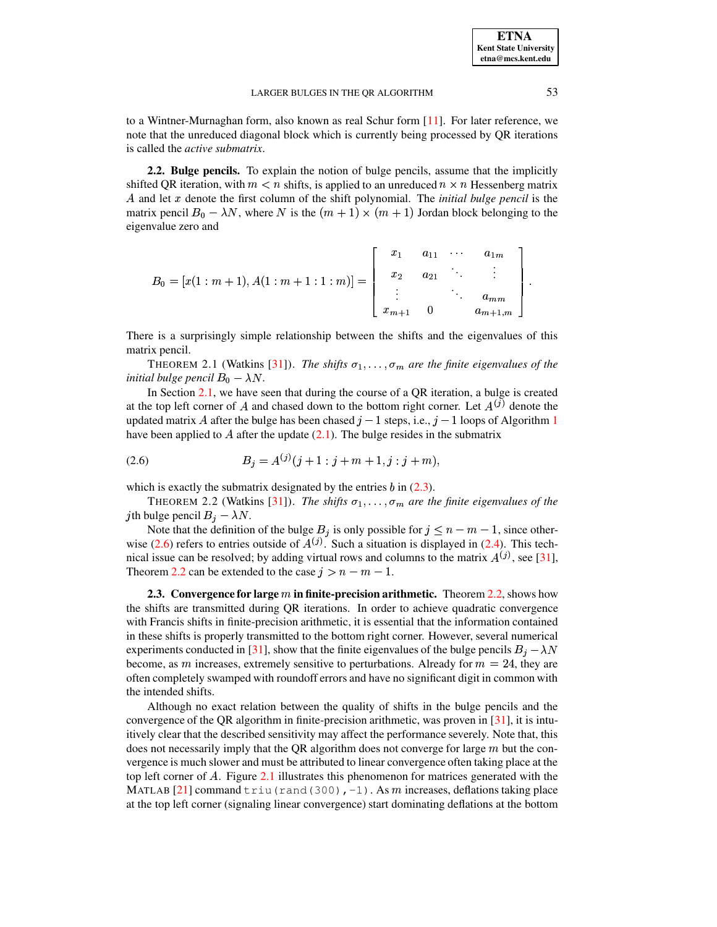to a Wintner-Murnaghan form, also known as real Schur form [\[11\]](#page-12-4). For later reference, we note that the unreduced diagonal block which is currently being processed by QR iterations is called the *active submatrix*.

**2.2. Bulge pencils.** To explain the notion of bulge pencils, assume that the implicitly shifted QR iteration, with  $m < n$  shifts, is applied to an unreduced  $n \times n$  Hessenberg matrix A and let x denote the first column of the shift polynomial. The *initial bulge pencil* is the matrix pencil  $B_0 - \lambda N$ , where N is the  $(m + 1) \times (m + 1)$  Jordan block belonging to the eigenvalue zero and

$$
B_0 = [x(1:m+1), A(1:m+1:1:m)] = \begin{bmatrix} x_1 & a_{11} & \cdots & a_{1m} \\ x_2 & a_{21} & \ddots & \vdots \\ \vdots & & \ddots & a_{mm} \\ x_{m+1} & 0 & a_{m+1,m} \end{bmatrix}.
$$

<span id="page-3-2"></span>There is a surprisingly simple relationship between the shifts and the eigenvalues of this matrix pencil.

THEOREM 2.1 (Watkins [\[31\]](#page-13-2)). *The shifts*  $\sigma_1, \ldots, \sigma_m$  are the finite eigenvalues of the *initial bulge pencil*  $B_0 - \lambda N$ *.* 

In Section [2.1,](#page-1-3) we have seen that during the course of a QR iteration, a bulge is created at the top left corner of A and chased down to the bottom right corner. Let  $A^{(j)}$  denote the updated matrix A after the bulge has been chased  $j-1$  $j-1$  steps, i.e.,  $j-1$  loops of Algorithm 1 have been applied to A after the update  $(2.1)$ . The bulge resides in the submatrix

<span id="page-3-0"></span>
$$
(2.6) \tBj = A(j)(j + 1 : j + m + 1, j : j + m),
$$

<span id="page-3-1"></span>which is exactly the submatrix designated by the entries  $b$  in  $(2.3)$ .

THEOREM 2.2 (Watkins [\[31\]](#page-13-2)). *The shifts*  $\sigma_1, \ldots, \sigma_m$  are the finite eigenvalues of the *j*th bulge pencil  $B_j - \lambda N$ .

Note that the definition of the bulge  $B_j$  is only possible for  $j \leq n-m-1$ , since other-wise [\(2.6\)](#page-3-0) refers to entries outside of  $A^{(j)}$ . Such a situation is displayed in [\(2.4\)](#page-2-4). This technical issue can be resolved; by adding virtual rows and columns to the matrix  $A^{(j)}$ , see [\[31\]](#page-13-2), Theorem [2.2](#page-3-1) can be extended to the case  $j > n - m - 1$ .

**2.3. Convergence for large in finite-precision arithmetic.** Theorem [2.2,](#page-3-1) shows how the shifts are transmitted during QR iterations. In order to achieve quadratic convergence with Francis shifts in finite-precision arithmetic, it is essential that the information contained in these shifts is properly transmitted to the bottom right corner. However, several numerical experiments conducted in [\[31\]](#page-13-2), show that the finite eigenvalues of the bulge pencils  $B_i - \lambda N$ become, as m increases, extremely sensitive to perturbations. Already for  $m = 24$ , they are often completely swamped with roundoff errors and have no significant digit in common with the intended shifts.

Although no exact relation between the quality of shifts in the bulge pencils and the convergence of the QR algorithm in finite-precision arithmetic, was proven in [\[31\]](#page-13-2), it is intuitively clear that the described sensitivity may affect the performance severely. Note that, this does not necessarily imply that the QR algorithm does not converge for large  $m$  but the convergence is much slower and must be attributed to linear convergence often taking place at the top left corner of  $A$ . Figure [2.1](#page-7-0) illustrates this phenomenon for matrices generated with the MATLAB [\[21\]](#page-12-14) command triu (rand (300),  $-1$ ). As m increases, deflations taking place at the top left corner (signaling linear convergence) start dominating deflations at the bottom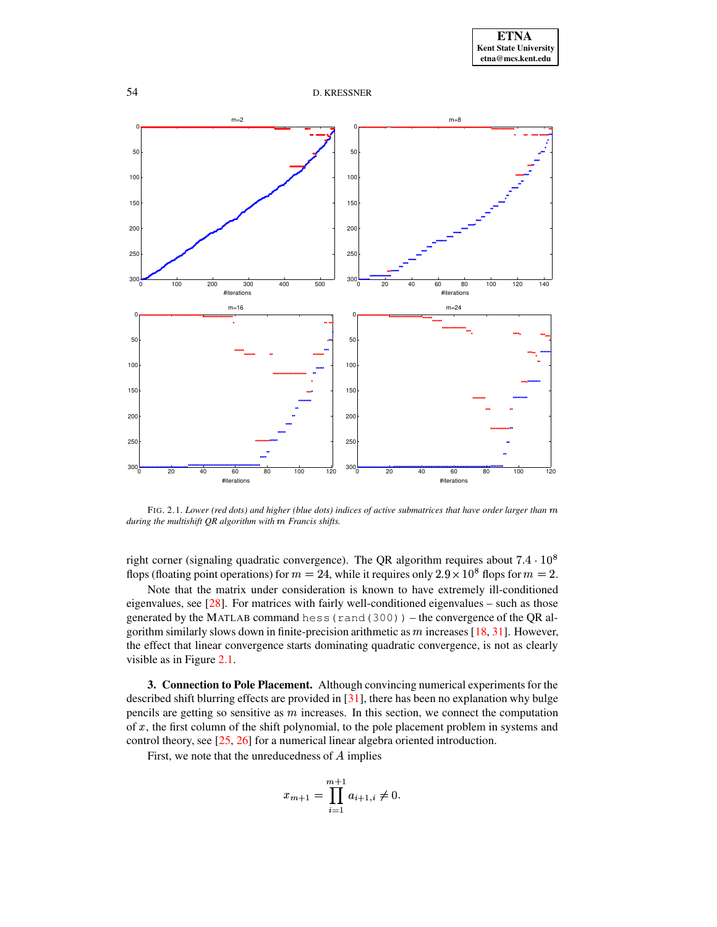



FIG. 2.1. *Lower (red dots) and higher (blue dots) indices of active submatrices that have order larger than* <sup>¼</sup> *during the multishift QR algorithm with* ¼ *Francis shifts.*

right corner (signaling quadratic convergence). The QR algorithm requires about  $7.4 \cdot 10^8$ flops (floating point operations) for  $m = 24$ , while it requires only  $2.9 \times 10^8$  flops for  $m = 2$ .

Note that the matrix under consideration is known to have extremely ill-conditioned eigenvalues, see [\[28\]](#page-12-15). For matrices with fairly well-conditioned eigenvalues – such as those generated by the MATLAB command hess (rand  $(300)$ ) – the convergence of the QR algorithm similarly slows down in finite-precision arithmetic as  $m$  increases [\[18,](#page-12-10) [31\]](#page-13-2). However, the effect that linear convergence starts dominating quadratic convergence, is not as clearly visible as in Figure [2.1.](#page-7-0)

<span id="page-4-0"></span>**3. Connection to Pole Placement.** Although convincing numerical experiments for the described shift blurring effects are provided in [\[31\]](#page-13-2), there has been no explanation why bulge pencils are getting so sensitive as  $m$  increases. In this section, we connect the computation of  $x$ , the first column of the shift polynomial, to the pole placement problem in systems and control theory, see [\[25,](#page-12-16) [26\]](#page-12-17) for a numerical linear algebra oriented introduction.

First, we note that the unreducedness of  $A$  implies

$$
x_{m+1} = \prod_{i=1}^{m+1} a_{i+1,i} \neq 0.
$$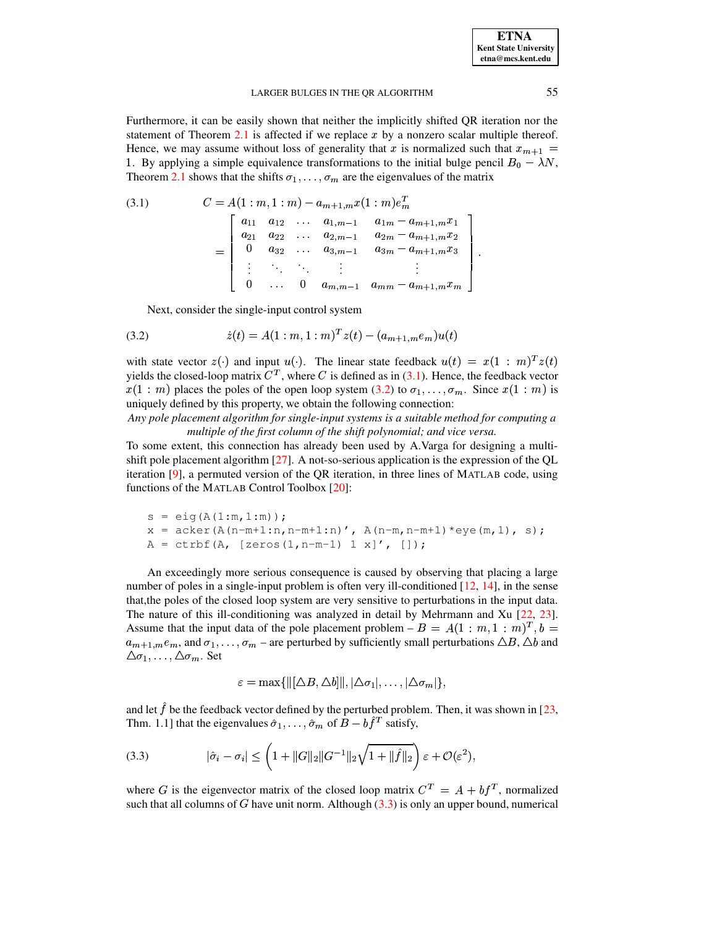| <b>ETNA</b>                  |
|------------------------------|
| <b>Kent State Universitv</b> |
| etna@mcs.kent.edu            |

Furthermore, it can be easily shown that neither the implicitly shifted QR iteration nor the statement of Theorem [2.1](#page-3-2) is affected if we replace  $x$  by a nonzero scalar multiple thereof. Hence, we may assume without loss of generality that x is normalized such that  $x_{m+1} =$ 1. By applying a simple equivalence transformations to the initial bulge pencil  $B_0 - \lambda N$ , Theorem [2.1](#page-3-2) shows that the shifts  $\sigma_1, \ldots, \sigma_m$  are the eigenvalues of the matrix

<span id="page-5-0"></span>(3.1) 
$$
C = A(1:m, 1:m) - a_{m+1,m}x(1:m)e_m^T
$$

$$
= \begin{bmatrix} a_{11} & a_{12} & \cdots & a_{1,m-1} & a_{1m} - a_{m+1,m}x_1 \\ a_{21} & a_{22} & \cdots & a_{2,m-1} & a_{2m} - a_{m+1,m}x_2 \\ 0 & a_{32} & \cdots & a_{3,m-1} & a_{3m} - a_{m+1,m}x_3 \\ \vdots & \ddots & \ddots & \vdots & \vdots \\ 0 & \cdots & 0 & a_{m,m-1} & a_{mm} - a_{m+1,m}x_m \end{bmatrix}.
$$

Next, consider the single-input control system

<span id="page-5-1"></span>(3.2) 
$$
\dot{z}(t) = A(1:m,1:m)^T z(t) - (a_{m+1,m}e_m)u(t)
$$

with state vector  $z(\cdot)$  and input  $u(\cdot)$ . The linear state feedback  $u(t) = x(1:m)^T z(t)$ yields the closed-loop matrix  $C^T$ , where C is defined as in [\(3.1\)](#page-5-0). Hence, the feedback vector  $x(1:m)$  places the poles of the open loop system [\(3.2\)](#page-5-1) to  $\sigma_1, \ldots, \sigma_m$ . Since  $x(1:m)$  is uniquely defined by this property, we obtain the following connection:

*Any pole placement algorithm for single-input systems is a suitable method for computing a multiple of the first column of the shift polynomial; and vice versa.*

To some extent, this connection has already been used by A.Varga for designing a multishift pole placement algorithm  $[27]$ . A not-so-serious application is the expression of the OL iteration [\[9\]](#page-12-19), a permuted version of the QR iteration, in three lines of MATLAB code, using functions of the MATLAB Control Toolbox [\[20\]](#page-12-20):

```
s = eig(A(1:m, 1:m));x = acker(A(n-m+1:n,n-m+1:n), A(n-m,n-m+1)*eye(m,1), s);
A = \text{ctrbf}(A, \text{ [zeros}(1, n-m-1) 1 x)', \text{ []});
```
An exceedingly more serious consequence is caused by observing that placing a large number of poles in a single-input problem is often very ill-conditioned [\[12,](#page-12-21) [14\]](#page-12-22), in the sense that,the poles of the closed loop system are very sensitive to perturbations in the input data. The nature of this ill-conditioning was analyzed in detail by Mehrmann and Xu [\[22,](#page-12-23) [23\]](#page-12-24). Assume that the input data of the pole placement problem  $-B = A(1:m, 1:m)^T$ ,  $b =$  $a_{m+1,m}e_m$ , and  $\sigma_1,\ldots,\sigma_m$  – are perturbed by sufficiently small perturbations  $\triangle B$ ,  $\triangle b$  and  $\triangle \sigma_1, \ldots, \triangle \sigma_m$ . Set

$$
\varepsilon = \max \{ \Vert [\Delta B, \Delta b] \Vert, |\Delta \sigma_1|, \ldots, |\Delta \sigma_m| \},\
$$

and let  $f$  be the feedback vector defined by the perturbed problem. Then, it was shown in [\[23,](#page-12-24) Thm. 1.1] that the eigenvalues  $\hat{\sigma}_1, \dots, \hat{\sigma}_m$  of  $B - bf^T$  satisfy,

<span id="page-5-2"></span>(3.3) 
$$
|\hat{\sigma}_i - \sigma_i| \leq \left(1 + ||G||_2||G^{-1}||_2\sqrt{1 + ||\hat{f}||_2}\right)\varepsilon + \mathcal{O}(\varepsilon^2),
$$

where G is the eigenvector matrix of the closed loop matrix  $C^{T} = A + bf^{T}$ , normalized such that all columns of  $G$  have unit norm. Although  $(3.3)$  is only an upper bound, numerical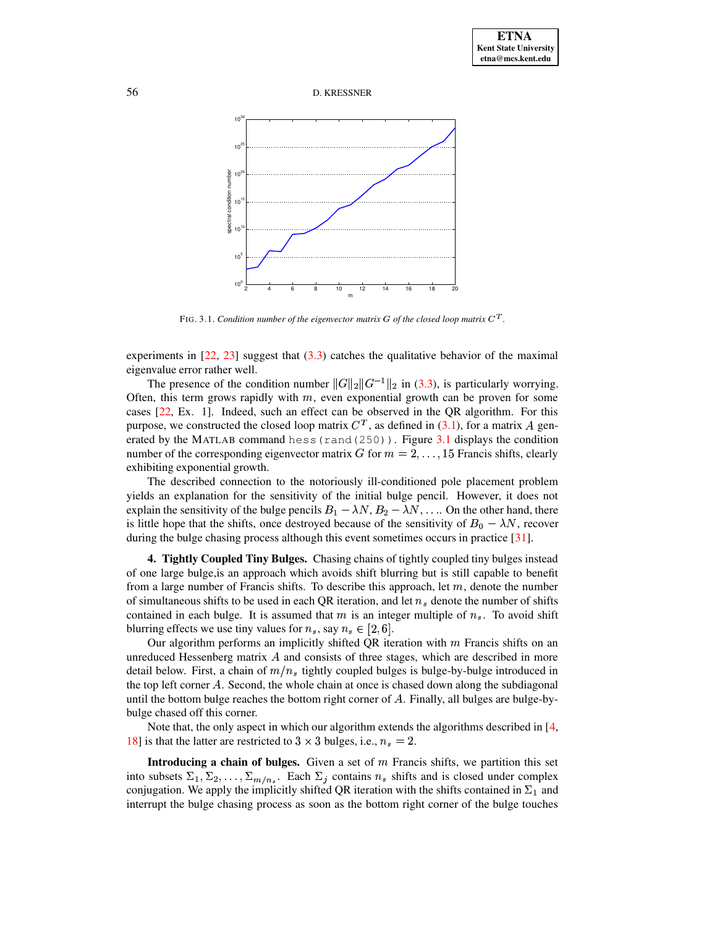



FIG. 3.1. *Condition number of the eigenvector matrix G of the closed loop matrix*  $C<sup>T</sup>$ *.* 

experiments in  $[22, 23]$  $[22, 23]$  $[22, 23]$  suggest that  $(3.3)$  catches the qualitative behavior of the maximal eigenvalue error rather well.

The presence of the condition number  $||G||_2||G^{-1}||_2$  in [\(3.3\)](#page-5-2), is particularly worrying. Often, this term grows rapidly with  $m$ , even exponential growth can be proven for some cases [\[22,](#page-12-23) Ex. 1]. Indeed, such an effect can be observed in the QR algorithm. For this purpose, we constructed the closed loop matrix  $C<sup>T</sup>$ , as defined in [\(3.1\)](#page-5-0), for a matrix A generated by the MATLAB command hess (rand  $(250)$ ). Figure [3.1](#page-7-0) displays the condition number of the corresponding eigenvector matrix G for  $m = 2, \ldots, 15$  Francis shifts, clearly exhibiting exponential growth.

The described connection to the notoriously ill-conditioned pole placement problem yields an explanation for the sensitivity of the initial bulge pencil. However, it does not explain the sensitivity of the bulge pencils  $B_1 - \lambda N$ ,  $B_2 - \lambda N$ , ... On the other hand, there is little hope that the shifts, once destroyed because of the sensitivity of  $B_0 - \lambda N$ , recover during the bulge chasing process although this event sometimes occurs in practice [\[31\]](#page-13-2).

<span id="page-6-0"></span>**4. Tightly Coupled Tiny Bulges.** Chasing chains of tightly coupled tiny bulges instead of one large bulge,is an approach which avoids shift blurring but is still capable to benefit from a large number of Francis shifts. To describe this approach, let  $m$ , denote the number of simultaneous shifts to be used in each QR iteration, and let  $n<sub>s</sub>$  denote the number of shifts contained in each bulge. It is assumed that  $m$  is an integer multiple of  $n_s$ . To avoid shift blurring effects we use tiny values for  $n_s$ , say  $n_s \in [2, 6]$ .

Our algorithm performs an implicitly shifted QR iteration with  $m$  Francis shifts on an unreduced Hessenberg matrix  $A$  and consists of three stages, which are described in more detail below. First, a chain of  $m/n_s$  tightly coupled bulges is bulge-by-bulge introduced in the top left corner A. Second, the whole chain at once is chased down along the subdiagonal until the bottom bulge reaches the bottom right corner of A. Finally, all bulges are bulge-bybulge chased off this corner.

Note that, the only aspect in which our algorithm extends the algorithms described in [\[4,](#page-12-7) [18\]](#page-12-10) is that the latter are restricted to  $3 \times 3$  bulges, i.e.,  $n_s = 2$ .

**Introducing a chain of bulges.** Given a set of m Francis shifts, we partition this set into subsets  $\Sigma_1, \Sigma_2, \ldots, \Sigma_{m/n_s}$ . Each  $\Sigma_j$  contains  $n_s$  shifts and is closed under complex conjugation. We apply the implicitly shifted QR iteration with the shifts contained in  $\Sigma_1$  and interrupt the bulge chasing process as soon as the bottom right corner of the bulge touches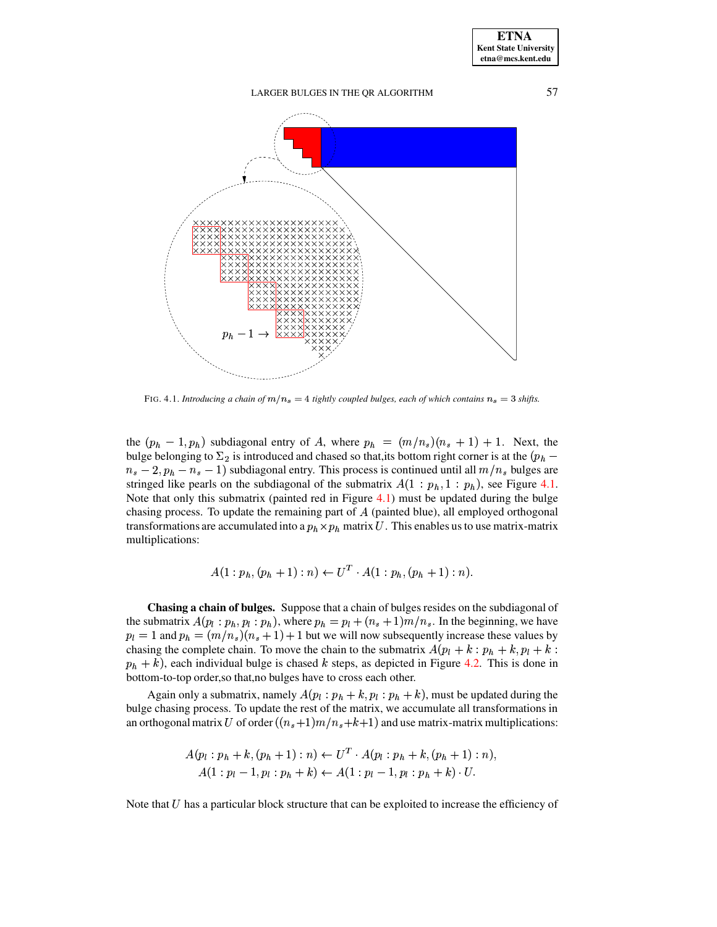

FIG. 4.1. *Introducing a chain of*  $m/n_s = 4$  *tightly coupled bulges, each of which contains*  $n_s = 3$  *shifts.* 

<span id="page-7-0"></span>the  $(p_h - 1, p_h)$  subdiagonal entry of A, where  $p_h = (m/n_s)(n_s + 1) + 1$ . Next, the bulge belonging to  $\Sigma_2$  is introduced and chased so that, its bottom right corner is at the  $(p_h$  $m_s - 2$ ,  $p_h - n_s - 1$ ) subdiagonal entry. This process is continued until all  $m/n_s$  bulges are stringed like pearls on the subdiagonal of the submatrix  $A(1:p_h, 1:p_h)$ , see Figure [4.1.](#page-7-0) Note that only this submatrix (painted red in Figure [4.1\)](#page-7-0) must be updated during the bulge chasing process. To update the remaining part of  $A$  (painted blue), all employed orthogonal transformations are accumulated into a  $p_h \times p_h$  matrix U. This enables us to use matrix-matrix multiplications:

$$
A(1:p_h,(p_h+1):n) \leftarrow U^T \cdot A(1:p_h,(p_h+1):n).
$$

**Chasing a chain of bulges.** Suppose that a chain of bulges resides on the subdiagonal of the submatrix  $A(p_i : p_h, p_i : p_h)$ , where  $p_h = p_l + (n_s + 1)m/n_s$ . In the beginning, we have  $p_l = 1$  and  $p_h = (m/n_s)(n_s + 1) + 1$  but we will now subsequently increase these values by chasing the complete chain. To move the chain to the submatrix  $A(p_l + k : p_h + k, p_l + k :$  $p_h + k$ ), each individual bulge is chased k steps, as depicted in Figure [4.2.](#page-8-0) This is done in bottom-to-top order,so that,no bulges have to cross each other.

Again only a submatrix, namely  $A(p_l : p_h + k, p_l : p_h + k)$ , must be updated during the bulge chasing process. To update the rest of the matrix, we accumulate all transformations in an orthogonal matrix U of order  $((n_s+1)m/n_s+k+1)$  and use matrix-matrix multiplications:

$$
A(p_l : p_h + k, (p_h + 1) : n) \leftarrow U^T \cdot A(p_l : p_h + k, (p_h + 1) : n),
$$
  

$$
A(1 : p_l - 1, p_l : p_h + k) \leftarrow A(1 : p_l - 1, p_l : p_h + k) \cdot U.
$$

Note that  $U$  has a particular block structure that can be exploited to increase the efficiency of

**ETNA Kent State University**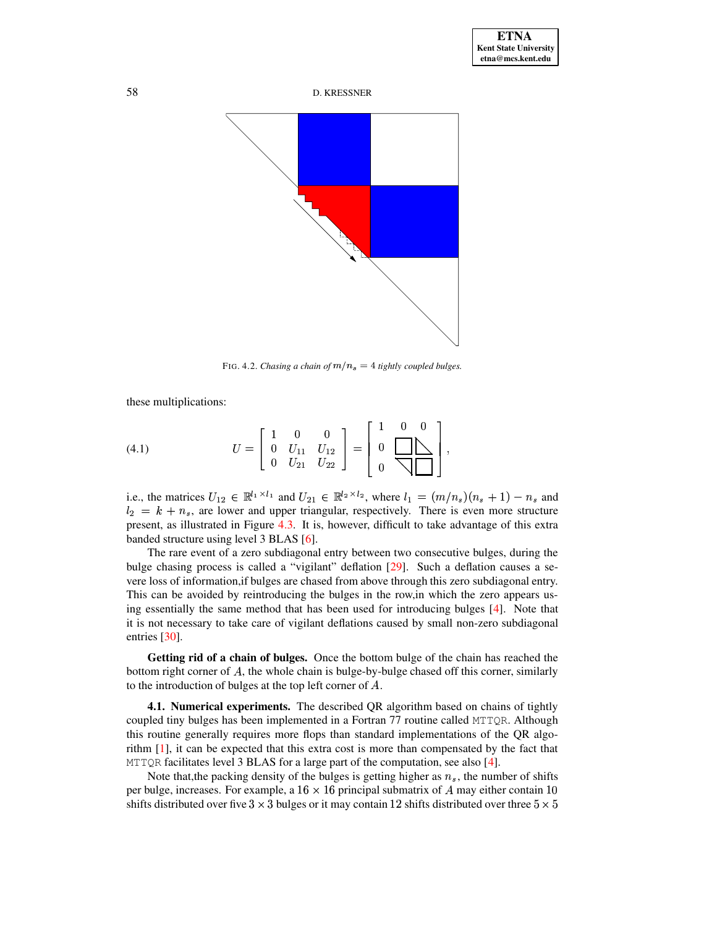

<span id="page-8-0"></span>FIG. 4.2. *Chasing a chain of*  $m/n_s = 4$  *tightly coupled bulges.* 

these multiplications:

(4.1) 
$$
U = \begin{bmatrix} 1 & 0 & 0 \\ 0 & U_{11} & U_{12} \\ 0 & U_{21} & U_{22} \end{bmatrix} = \begin{bmatrix} 1 & 0 & 0 \\ 0 & \sum_{11} \end{bmatrix},
$$

i.e., the matrices  $U_{12} \in \mathbb{R}^{l_1 \times l_1}$  and  $U_{21} \in \mathbb{R}^{l_2 \times l_2}$ , where  $l_1 = (m/n_s)(n_s + 1) - n_s$  and  $l_2 = k + n_s$ , are lower and upper triangular, respectively. There is even more structure present, as illustrated in Figure [4.3.](#page-9-0) It is, however, difficult to take advantage of this extra banded structure using level 3 BLAS [\[6\]](#page-12-25).

The rare event of a zero subdiagonal entry between two consecutive bulges, during the bulge chasing process is called a "vigilant" deflation [\[29\]](#page-12-12). Such a deflation causes a severe loss of information,if bulges are chased from above through this zero subdiagonal entry. This can be avoided by reintroducing the bulges in the row,in which the zero appears using essentially the same method that has been used for introducing bulges [\[4\]](#page-12-7). Note that it is not necessary to take care of vigilant deflations caused by small non-zero subdiagonal entries [\[30\]](#page-13-1).

**Getting rid of a chain of bulges.** Once the bottom bulge of the chain has reached the bottom right corner of  $A$ , the whole chain is bulge-by-bulge chased off this corner, similarly to the introduction of bulges at the top left corner of  $A$ .

**4.1. Numerical experiments.** The described QR algorithm based on chains of tightly coupled tiny bulges has been implemented in a Fortran 77 routine called MTTQR. Although this routine generally requires more flops than standard implementations of the QR algorithm [\[1\]](#page-12-3), it can be expected that this extra cost is more than compensated by the fact that MTTQR facilitates level 3 BLAS for a large part of the computation, see also [\[4\]](#page-12-7).

Note that, the packing density of the bulges is getting higher as  $n_s$ , the number of shifts per bulge, increases. For example, a  $16 \times 16$  principal submatrix of A may either contain 10 shifts distributed over five  $3 \times 3$  bulges or it may contain 12 shifts distributed over three  $5 \times$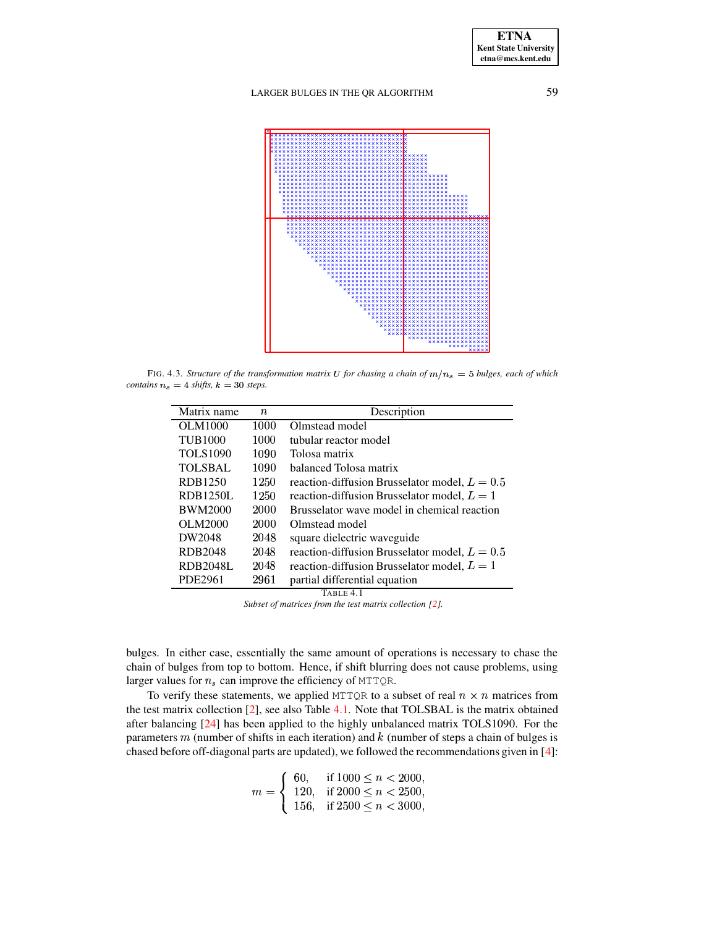

<span id="page-9-0"></span>FIG. 4.3. *Structure of the transformation matrix* U for *chasing a chain* of  $m/n_s = 5$  *bulges, each* of *which contains*  $n_s = 4$  *shifts,*  $k = 30$  *steps.* 

| Matrix name     | $\it n$ | Description                                     |
|-----------------|---------|-------------------------------------------------|
| <b>OLM1000</b>  | 1000    | Olmstead model                                  |
| <b>TUB1000</b>  | 1000    | tubular reactor model                           |
|                 |         |                                                 |
| <b>TOLS1090</b> | 1090    | Tolosa matrix                                   |
| <b>TOLSBAL</b>  | 1090    | balanced Tolosa matrix                          |
| RDB1250         | 1250    | reaction-diffusion Brusselator model, $L = 0.5$ |
| <b>RDB1250L</b> | 1250    | reaction-diffusion Brusselator model, $L = 1$   |
| <b>BWM2000</b>  | 2000    | Brusselator wave model in chemical reaction     |
| OLM2000         | 2000    | Olmstead model                                  |
| DW2048          | 2048    | square dielectric waveguide                     |
| RDB2048         | 2048    | reaction-diffusion Brusselator model, $L = 0.5$ |
| <b>RDB2048L</b> | 2048    | reaction-diffusion Brusselator model, $L = 1$   |
| PDE2961         | 2961    | partial differential equation                   |

TABLE 4.1

*Subset of matrices from the test matrix collection [\[2\]](#page-12-26).*

<span id="page-9-1"></span>bulges. In either case, essentially the same amount of operations is necessary to chase the chain of bulges from top to bottom. Hence, if shift blurring does not cause problems, using larger values for  $n_s$  can improve the efficiency of MTTQR.

To verify these statements, we applied MTTQR to a subset of real  $n \times n$  matrices from the test matrix collection [\[2\]](#page-12-26), see also Table [4.1.](#page-9-1) Note that TOLSBAL is the matrix obtained after balancing [\[24\]](#page-12-27) has been applied to the highly unbalanced matrix TOLS1090. For the parameters  $m$  (number of shifts in each iteration) and  $k$  (number of steps a chain of bulges is chased before off-diagonal parts are updated), we followed the recommendations given in [\[4\]](#page-12-7):

$$
m = \begin{cases} 60, & \text{if } 1000 \le n < 2000, \\ 120, & \text{if } 2000 \le n < 2500, \\ 156, & \text{if } 2500 \le n < 3000, \end{cases}
$$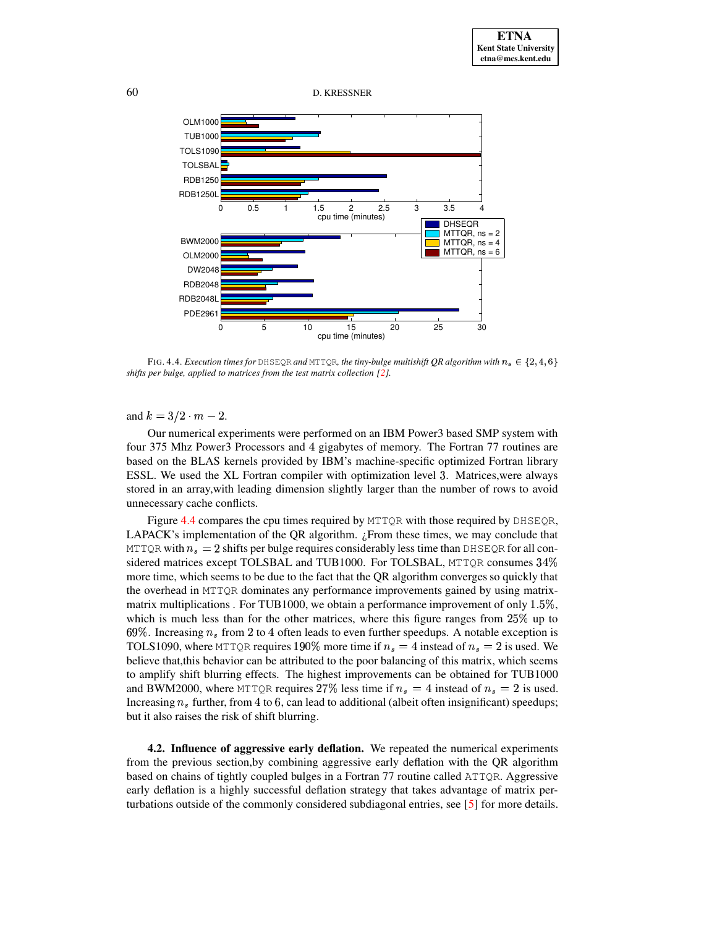60 D. KRESSNER



<span id="page-10-1"></span>FIG. 4.4. *Execution times for* <code>DHSEQR</code> and <code>MTTQR</code>, the tiny-bulge multishift QR algorithm with  $n_s \in \{2, 4, 6\}$ *shifts per bulge, applied to matrices from the test matrix collection [\[2\]](#page-12-26).*

and  $k = 3/2 \cdot m - 2$ .

Our numerical experiments were performed on an IBM Power3 based SMP system with four 375 Mhz Power3 Processors and <sup>A</sup> gigabytes of memory. The Fortran 77 routines are based on the BLAS kernels provided by IBM's machine-specific optimized Fortran library ESSL. We used the XL Fortran compiler with optimization level 3. Matrices, were always stored in an array,with leading dimension slightly larger than the number of rows to avoid unnecessary cache conflicts.

Figure [4.4](#page-10-1) compares the cpu times required by MTTQR with those required by DHSEQR, LAPACK's implementation of the QR algorithm.  $\chi$ From these times, we may conclude that <code>MTTQR</code> with  $n_s = 2$  shifts per bulge requires considerably less time than <code>DHSEQR</code> for all considered matrices except TOLSBAL and TUB1000. For TOLSBAL, MTTQR consumes  $34\%$ more time, which seems to be due to the fact that the QR algorithm converges so quickly that the overhead in MTTQR dominates any performance improvements gained by using matrixmatrix multiplications . For TUB1000, we obtain a performance improvement of only  $1.5\%$ , which is much less than for the other matrices, where this figure ranges from  $25\%$  up to 69%. Increasing  $n_s$  from 2 to 4 often leads to even further speedups. A notable exception is TOLS1090, where MTTQR requires 190% more time if  $n_s = 4$  instead of  $n_s = 2$  is used. We believe that,this behavior can be attributed to the poor balancing of this matrix, which seems to amplify shift blurring effects. The highest improvements can be obtained for TUB1000 and BWM2000, where MTTQR requires 27% less time if  $n_s = 4$  instead of  $n_s = 2$  is used. Increasing  $n_s$  further, from 4 to 6, can lead to additional (albeit often insignificant) speedups; but it also raises the risk of shift blurring.

<span id="page-10-0"></span>**4.2. Influence of aggressive early deflation.** We repeated the numerical experiments from the previous section,by combining aggressive early deflation with the QR algorithm based on chains of tightly coupled bulges in a Fortran 77 routine called ATTQR. Aggressive early deflation is a highly successful deflation strategy that takes advantage of matrix perturbations outside of the commonly considered subdiagonal entries, see [\[5\]](#page-12-13) for more details.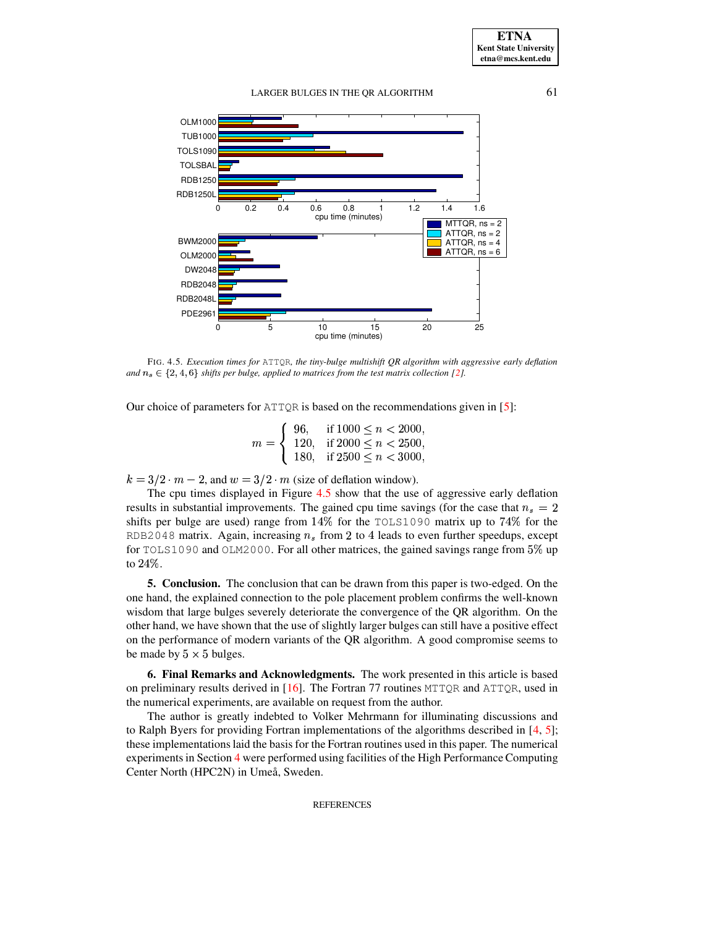LARGER BULGES IN THE OR ALGORITHM 61



<span id="page-11-0"></span>FIG. 4.5. *Execution times for* ATTQR*, the tiny-bulge multishift QR algorithm with aggressive early deflation* and  $n_s \in \{2, 4, 6\}$  *shifts per bulge, applied to matrices from the test matrix collection* [\[2\]](#page-12-26).

Our choice of parameters for  $ATTQR$  is based on the recommendations given in [\[5\]](#page-12-13):

 $m = \begin{cases} 96, & \text{if } 1000 \leq n < 2000, \\ 120, & \text{if } 2000 \leq n < 2500, \end{cases}$ 120, if  $2000 \le n < 2500$ , 180, if  $2500 \le n < 3000$ ,

 $k = 3/2 \cdot m - 2$ , and  $w = 3/2 \cdot m$  (size of deflation window).

The cpu times displayed in Figure [4.5](#page-11-0) show that the use of aggressive early deflation results in substantial improvements. The gained cpu time savings (for the case that  $n_s = 2$ shifts per bulge are used) range from  $14\%$  for the TOLS1090 matrix up to  $74\%$  for the RDB2048 matrix. Again, increasing  $n_s$  from 2 to 4 leads to even further speedups, except for TOLS1090 and OLM2000. For all other matrices, the gained savings range from  $5\%$  up to  $24\%$ .

**5. Conclusion.** The conclusion that can be drawn from this paper is two-edged. On the one hand, the explained connection to the pole placement problem confirms the well-known wisdom that large bulges severely deteriorate the convergence of the QR algorithm. On the other hand, we have shown that the use of slightly larger bulges can still have a positive effect on the performance of modern variants of the QR algorithm. A good compromise seems to be made by  $5 \times 5$  bulges.

**6. Final Remarks and Acknowledgments.** The work presented in this article is based on preliminary results derived in [\[16\]](#page-12-28). The Fortran 77 routines MTTQR and ATTQR, used in the numerical experiments, are available on request from the author.

The author is greatly indebted to Volker Mehrmann for illuminating discussions and to Ralph Byers for providing Fortran implementations of the algorithms described in [\[4,](#page-12-7) [5\]](#page-12-13); these implementationslaid the basis for the Fortran routines used in this paper. The numerical experimentsin Section [4](#page-6-0) were performed using facilities of the High Performance Computing Center North (HPC2N) in Umeå, Sweden.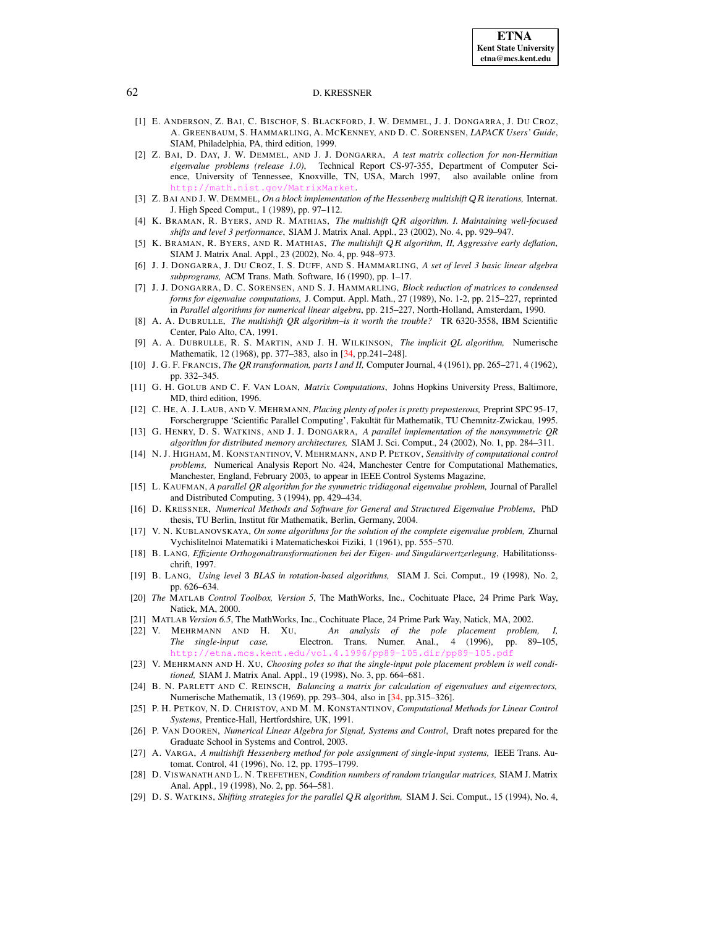#### <span id="page-12-3"></span>62 D. KRESSNER

- [1] E. ANDERSON, Z. BAI, C. BISCHOF, S. BLACKFORD, J. W. DEMMEL, J. J. DONGARRA, J. DU CROZ, A. GREENBAUM, S. HAMMARLING, A. MCKENNEY, AND D. C. SORENSEN, *LAPACK Users' Guide*, SIAM, Philadelphia, PA, third edition, 1999.
- <span id="page-12-26"></span>[2] Z. BAI, D. DAY, J. W. DEMMEL, AND J. J. DONGARRA, *A test matrix collection for non-Hermitian eigenvalue problems (release 1.0)*, Technical Report CS-97-355, Department of Computer Science, University of Tennessee, Knoxville, TN, USA, March 1997, also available online from <http://math.nist.gov/MatrixMarket>.
- <span id="page-12-5"></span>[3] Z. BAI AND J. W. DEMMEL, *On a block implementation of the Hessenberg multishift iterations,* Internat. J. High Speed Comput., 1 (1989), pp. 97–112.
- <span id="page-12-7"></span>[4] K. BRAMAN, R. BYERS, AND R. MATHIAS, *The multishift algorithm. I. Maintaining well-focused shifts and level 3 performance*, SIAM J. Matrix Anal. Appl., 23 (2002), No. 4, pp. 929–947.
- <span id="page-12-13"></span>[5] K. BRAMAN, R. BYERS, AND R. MATHIAS, *The multishift algorithm, II, Aggressive early deflation*, SIAM J. Matrix Anal. Appl., 23 (2002), No. 4, pp. 948–973.
- <span id="page-12-25"></span><span id="page-12-2"></span>[6] J. J. DONGARRA, J. DU CROZ, I. S. DUFF, AND S. HAMMARLING, *A set of level 3 basic linear algebra subprograms,* ACM Trans. Math. Software, 16 (1990), pp. 1–17.
- [7] J. J. DONGARRA, D. C. SORENSEN, AND S. J. HAMMARLING, *Block reduction of matrices to condensed forms for eigenvalue computations,* J. Comput. Appl. Math., 27 (1989), No. 1-2, pp. 215–227, reprinted in *Parallel algorithms for numerical linear algebra*, pp. 215–227, North-Holland, Amsterdam, 1990.
- <span id="page-12-6"></span>[8] A. A. DUBRULLE, *The multishift QR algorithm–is it worth the trouble?* TR 6320-3558, IBM Scientific Center, Palo Alto, CA, 1991.
- <span id="page-12-19"></span>[9] A. A. DUBRULLE, R. S. MARTIN, AND J. H. WILKINSON, *The implicit QL algorithm,* Numerische Mathematik, 12 (1968), pp. 377–383, also in [\[34,](#page-13-4) pp.241–248].
- <span id="page-12-0"></span>[10] J. G. F. FRANCIS, *The QR transformation, parts I and II,* Computer Journal, 4 (1961), pp. 265–271, 4 (1962), pp. 332–345.
- <span id="page-12-4"></span>[11] G. H. GOLUB AND C. F. VAN LOAN, *Matrix Computations*, Johns Hopkins University Press, Baltimore, MD, third edition, 1996.
- <span id="page-12-21"></span>[12] C. HE, A. J. LAUB, AND V. MEHRMANN, *Placing plenty of poles is pretty preposterous,* Preprint SPC 95-17, Forschergruppe 'Scientific Parallel Computing', Fakultät für Mathematik, TU Chemnitz-Zwickau, 1995.
- <span id="page-12-8"></span>[13] G. HENRY, D. S. WATKINS, AND J. J. DONGARRA, *A parallel implementation of the nonsymmetric QR algorithm for distributed memory architectures,* SIAM J. Sci. Comput., 24 (2002), No. 1, pp. 284–311.
- <span id="page-12-22"></span>[14] N. J. HIGHAM, M. KONSTANTINOV, V. MEHRMANN, AND P. PETKOV, *Sensitivity of computational control problems,* Numerical Analysis Report No. 424, Manchester Centre for Computational Mathematics, Manchester, England, February 2003, to appear in IEEE Control Systems Magazine,
- <span id="page-12-9"></span>[15] L. KAUFMAN, *A parallel QR algorithm for the symmetric tridiagonal eigenvalue problem,* Journal of Parallel and Distributed Computing, 3 (1994), pp. 429–434.
- <span id="page-12-28"></span>[16] D. KRESSNER, *Numerical Methods and Software for General and Structured Eigenvalue Problems*, PhD thesis, TU Berlin, Institut für Mathematik, Berlin, Germany, 2004.
- <span id="page-12-1"></span>[17] V. N. KUBLANOVSKAYA, *On some algorithms for the solution of the complete eigenvalue problem,* Zhurnal Vychislitelnoi Matematiki i Matematicheskoi Fiziki, 1 (1961), pp. 555–570.
- <span id="page-12-10"></span>[18] B. LANG, *Effiziente Orthogonaltransformationen bei der Eigen- und Singularwertzerle ¨ gung*, Habilitationsschrift, 1997.
- <span id="page-12-11"></span>[19] B. LANG, *Using level* ð *BLAS in rotation-based algorithms,* SIAM J. Sci. Comput., 19 (1998), No. 2, pp. 626–634.
- <span id="page-12-20"></span>[20] *The* MATLAB *Control Toolbox, Version 5*, The MathWorks, Inc., Cochituate Place, 24 Prime Park Way, Natick, MA, 2000.
- <span id="page-12-23"></span><span id="page-12-14"></span>[21] MATLAB *Version 6.5*, The MathWorks, Inc., Cochituate Place, 24 Prime Park Way, Natick, MA, 2002.
- [22] V. MEHRMANN AND H. XU, *An analysis of the pole placement problem, I, The single-input case,* Electron. Trans. Numer. Anal., 4 (1996), pp. 89–105, http://etna.mcs.kent.edu/vol.4.1996/pp89-105.dir/pp89-
- <span id="page-12-24"></span>[23] V. MEHRMANN AND H. XU, *Choosing poles so that the single-input pole placement problem is well conditioned,* SIAM J. Matrix Anal. Appl., 19 (1998), No. 3, pp. 664–681.
- <span id="page-12-27"></span>[24] B. N. PARLETT AND C. REINSCH, *Balancing a matrix for calculation of eigenvalues and eigenvectors,* Numerische Mathematik, 13 (1969), pp. 293–304, also in [\[34,](#page-13-4) pp.315–326].
- <span id="page-12-16"></span>[25] P. H. PETKOV, N. D. CHRISTOV, AND M. M. KONSTANTINOV, *Computational Methods for Linear Control Systems*, Prentice-Hall, Hertfordshire, UK, 1991.
- <span id="page-12-17"></span>[26] P. VAN DOOREN, *Numerical Linear Algebra for Signal, Systems and Control*, Draft notes prepared for the Graduate School in Systems and Control, 2003.
- <span id="page-12-18"></span>[27] A. VARGA, *A multishift Hessenberg method for pole assignment of single-input systems,* IEEE Trans. Automat. Control, 41 (1996), No. 12, pp. 1795–1799.
- <span id="page-12-15"></span>[28] D. VISWANATH AND L. N. TREFETHEN, *Condition numbers of random triangular matrices,* SIAM J. Matrix Anal. Appl., 19 (1998), No. 2, pp. 564–581.
- <span id="page-12-12"></span>[29] D. S. WATKINS, *Shifting strategies for the parallel algorithm,* SIAM J. Sci. Comput., 15 (1994), No. 4,